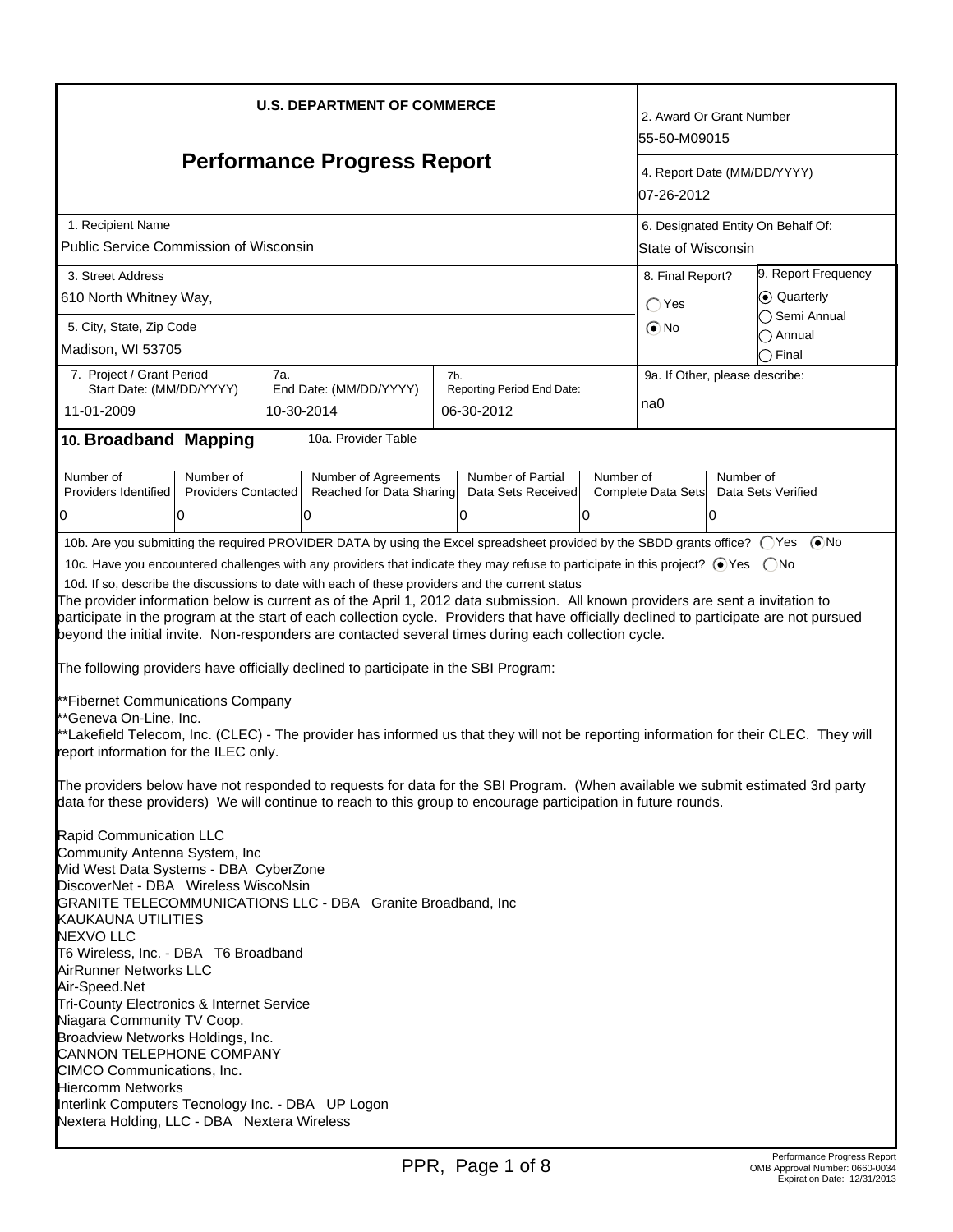| <b>U.S. DEPARTMENT OF COMMERCE</b><br><b>Performance Progress Report</b><br>1. Recipient Name<br><b>Public Service Commission of Wisconsin</b><br>3. Street Address<br>610 North Whitney Way,                                                                                                                                                                                                                                                                                                                                                                                                                                                                                                                                                                                                                                                                                                                                                                                                                                                                                                                                                                                                                                                                                                                                                                                                                                                                                                                                                                                                                                                                                                                                                                                                                                                                                                                       |  |     |                                                             |     | 2. Award Or Grant Number<br>55-50-M09015<br>4. Report Date (MM/DD/YYYY)<br>07-26-2012<br>6. Designated Entity On Behalf Of:<br>State of Wisconsin<br>9. Report Frequency<br>8. Final Report?<br>C Quarterly |  |                                       |  |                                    |
|---------------------------------------------------------------------------------------------------------------------------------------------------------------------------------------------------------------------------------------------------------------------------------------------------------------------------------------------------------------------------------------------------------------------------------------------------------------------------------------------------------------------------------------------------------------------------------------------------------------------------------------------------------------------------------------------------------------------------------------------------------------------------------------------------------------------------------------------------------------------------------------------------------------------------------------------------------------------------------------------------------------------------------------------------------------------------------------------------------------------------------------------------------------------------------------------------------------------------------------------------------------------------------------------------------------------------------------------------------------------------------------------------------------------------------------------------------------------------------------------------------------------------------------------------------------------------------------------------------------------------------------------------------------------------------------------------------------------------------------------------------------------------------------------------------------------------------------------------------------------------------------------------------------------|--|-----|-------------------------------------------------------------|-----|-------------------------------------------------------------------------------------------------------------------------------------------------------------------------------------------------------------|--|---------------------------------------|--|------------------------------------|
| 5. City, State, Zip Code<br>Madison, WI 53705                                                                                                                                                                                                                                                                                                                                                                                                                                                                                                                                                                                                                                                                                                                                                                                                                                                                                                                                                                                                                                                                                                                                                                                                                                                                                                                                                                                                                                                                                                                                                                                                                                                                                                                                                                                                                                                                       |  |     |                                                             |     |                                                                                                                                                                                                             |  | $\bigcap$ Yes<br>$\odot$ No           |  | ◯ Semi Annual<br>Annual<br>◯ Final |
| 7. Project / Grant Period<br>Start Date: (MM/DD/YYYY)<br>11-01-2009<br>10. Broadband Mapping                                                                                                                                                                                                                                                                                                                                                                                                                                                                                                                                                                                                                                                                                                                                                                                                                                                                                                                                                                                                                                                                                                                                                                                                                                                                                                                                                                                                                                                                                                                                                                                                                                                                                                                                                                                                                        |  | 7a. | End Date: (MM/DD/YYYY)<br>10-30-2014<br>10a. Provider Table | 7b. | Reporting Period End Date:<br>06-30-2012                                                                                                                                                                    |  | 9a. If Other, please describe:<br>na0 |  |                                    |
| Number of Agreements<br>Number of Partial<br>Number of<br>Number of<br>Number of<br>Number of<br>Providers Identified<br>Providers Contacted<br>Reached for Data Sharing<br>Data Sets Received<br>Complete Data Sets<br>Data Sets Verified<br>0<br>10<br>10<br>0<br>0<br>$\Omega$<br>10b. Are you submitting the required PROVIDER DATA by using the Excel spreadsheet provided by the SBDD grants office? (Ses (■No<br>10c. Have you encountered challenges with any providers that indicate they may refuse to participate in this project? ⊙ Yes  ONo<br>10d. If so, describe the discussions to date with each of these providers and the current status<br>The provider information below is current as of the April 1, 2012 data submission. All known providers are sent a invitation to<br>participate in the program at the start of each collection cycle. Providers that have officially declined to participate are not pursued<br>beyond the initial invite. Non-responders are contacted several times during each collection cycle.<br>The following providers have officially declined to participate in the SBI Program:<br>**Fibernet Communications Company<br>**Geneva On-Line, Inc.<br>**Lakefield Telecom, Inc. (CLEC) - The provider has informed us that they will not be reporting information for their CLEC. They will<br>report information for the ILEC only.<br>The providers below have not responded to requests for data for the SBI Program. (When available we submit estimated 3rd party<br>data for these providers) We will continue to reach to this group to encourage participation in future rounds.<br>Rapid Communication LLC<br>Community Antenna System, Inc<br>Mid West Data Systems - DBA CyberZone<br>DiscoverNet - DBA Wireless WiscoNsin<br><b>GRANITE TELECOMMUNICATIONS LLC - DBA Granite Broadband, Inc.</b><br><b>KAUKAUNA UTILITIES</b><br><b>NEXVO LLC</b> |  |     |                                                             |     |                                                                                                                                                                                                             |  |                                       |  |                                    |
| T6 Wireless, Inc. - DBA T6 Broadband<br>AirRunner Networks LLC<br>Air-Speed.Net<br>Tri-County Electronics & Internet Service<br>Niagara Community TV Coop.<br>Broadview Networks Holdings, Inc.<br>CANNON TELEPHONE COMPANY<br>CIMCO Communications, Inc.<br><b>Hiercomm Networks</b><br>Interlink Computers Tecnology Inc. - DBA UP Logon<br>Nextera Holding, LLC - DBA Nextera Wireless                                                                                                                                                                                                                                                                                                                                                                                                                                                                                                                                                                                                                                                                                                                                                                                                                                                                                                                                                                                                                                                                                                                                                                                                                                                                                                                                                                                                                                                                                                                           |  |     |                                                             |     |                                                                                                                                                                                                             |  |                                       |  |                                    |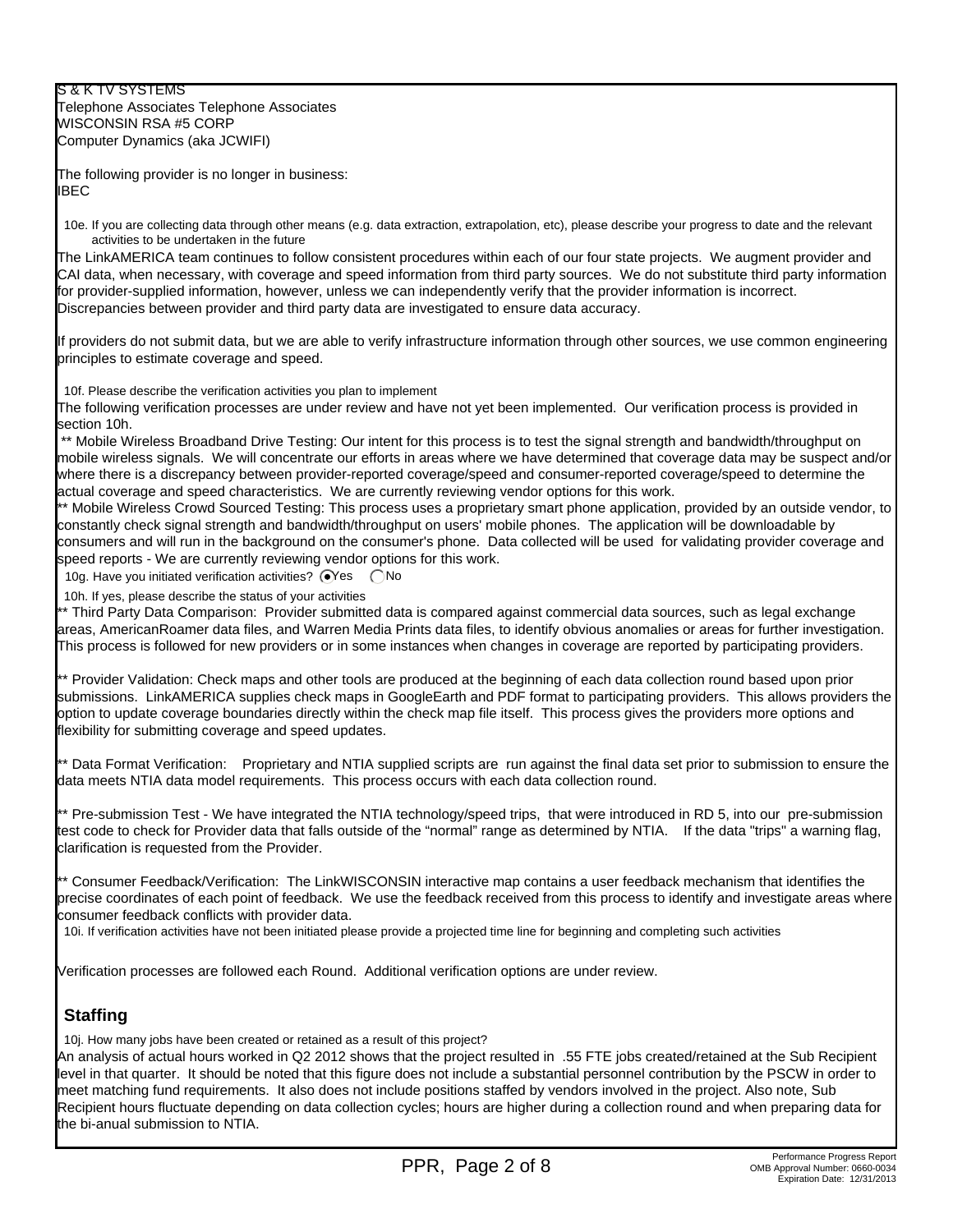S & K TV SYSTEMS Telephone Associates Telephone Associates WISCONSIN RSA #5 CORP Computer Dynamics (aka JCWIFI)

The following provider is no longer in business: **IBEC** 

10e. If you are collecting data through other means (e.g. data extraction, extrapolation, etc), please describe your progress to date and the relevant activities to be undertaken in the future

The LinkAMERICA team continues to follow consistent procedures within each of our four state projects. We augment provider and CAI data, when necessary, with coverage and speed information from third party sources. We do not substitute third party information for provider-supplied information, however, unless we can independently verify that the provider information is incorrect. Discrepancies between provider and third party data are investigated to ensure data accuracy.

If providers do not submit data, but we are able to verify infrastructure information through other sources, we use common engineering principles to estimate coverage and speed.

10f. Please describe the verification activities you plan to implement

The following verification processes are under review and have not yet been implemented. Our verification process is provided in section 10h.

\*\* Mobile Wireless Broadband Drive Testing: Our intent for this process is to test the signal strength and bandwidth/throughput on mobile wireless signals. We will concentrate our efforts in areas where we have determined that coverage data may be suspect and/or where there is a discrepancy between provider-reported coverage/speed and consumer-reported coverage/speed to determine the actual coverage and speed characteristics. We are currently reviewing vendor options for this work.

\*\* Mobile Wireless Crowd Sourced Testing: This process uses a proprietary smart phone application, provided by an outside vendor, to constantly check signal strength and bandwidth/throughput on users' mobile phones. The application will be downloadable by consumers and will run in the background on the consumer's phone. Data collected will be used for validating provider coverage and speed reports - We are currently reviewing vendor options for this work.

10g. Have you initiated verification activities?  $\bigcirc$ Yes  $\bigcirc$ No

10h. If yes, please describe the status of your activities

\*\* Third Party Data Comparison: Provider submitted data is compared against commercial data sources, such as legal exchange areas, AmericanRoamer data files, and Warren Media Prints data files, to identify obvious anomalies or areas for further investigation. This process is followed for new providers or in some instances when changes in coverage are reported by participating providers.

\*\* Provider Validation: Check maps and other tools are produced at the beginning of each data collection round based upon prior submissions. LinkAMERICA supplies check maps in GoogleEarth and PDF format to participating providers. This allows providers the option to update coverage boundaries directly within the check map file itself. This process gives the providers more options and flexibility for submitting coverage and speed updates.

\*\* Data Format Verification: Proprietary and NTIA supplied scripts are run against the final data set prior to submission to ensure the data meets NTIA data model requirements. This process occurs with each data collection round.

\*\* Pre-submission Test - We have integrated the NTIA technology/speed trips, that were introduced in RD 5, into our pre-submission test code to check for Provider data that falls outside of the "normal" range as determined by NTIA. If the data "trips" a warning flag, clarification is requested from the Provider.

\*\* Consumer Feedback/Verification: The LinkWISCONSIN interactive map contains a user feedback mechanism that identifies the precise coordinates of each point of feedback. We use the feedback received from this process to identify and investigate areas where consumer feedback conflicts with provider data.

10i. If verification activities have not been initiated please provide a projected time line for beginning and completing such activities

Verification processes are followed each Round. Additional verification options are under review.

# **Staffing**

10j. How many jobs have been created or retained as a result of this project?

An analysis of actual hours worked in Q2 2012 shows that the project resulted in .55 FTE jobs created/retained at the Sub Recipient level in that quarter. It should be noted that this figure does not include a substantial personnel contribution by the PSCW in order to meet matching fund requirements. It also does not include positions staffed by vendors involved in the project. Also note, Sub Recipient hours fluctuate depending on data collection cycles; hours are higher during a collection round and when preparing data for the bi-anual submission to NTIA.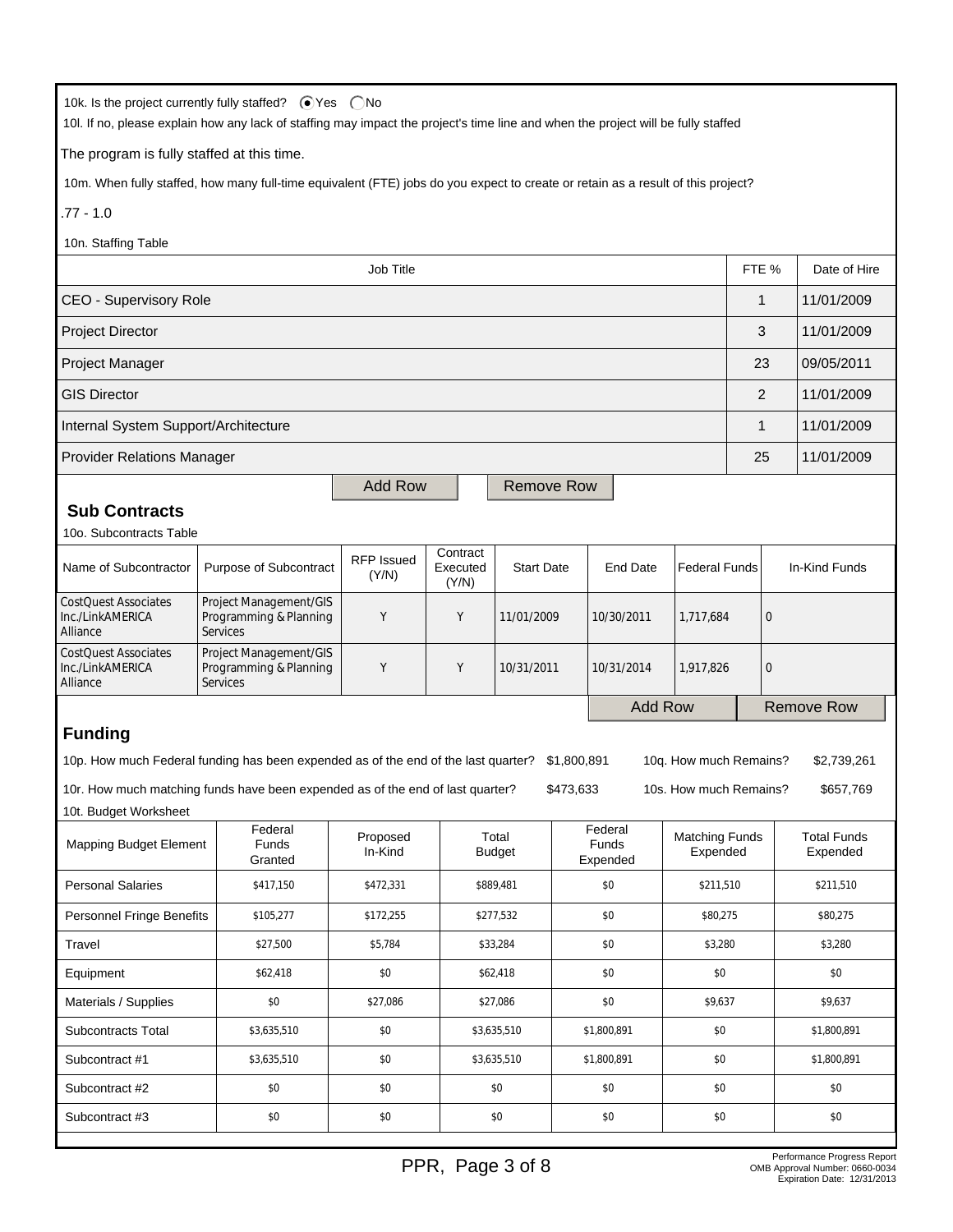| 10k. Is the project currently fully staffed? ● Yes ● No<br>10l. If no, please explain how any lack of staffing may impact the project's time line and when the project will be fully staffed |                                                                                                                                                       |                     |             |                        |                |                         |                        |                                   |                   |                                |
|----------------------------------------------------------------------------------------------------------------------------------------------------------------------------------------------|-------------------------------------------------------------------------------------------------------------------------------------------------------|---------------------|-------------|------------------------|----------------|-------------------------|------------------------|-----------------------------------|-------------------|--------------------------------|
| The program is fully staffed at this time.                                                                                                                                                   |                                                                                                                                                       |                     |             |                        |                |                         |                        |                                   |                   |                                |
| 10m. When fully staffed, how many full-time equivalent (FTE) jobs do you expect to create or retain as a result of this project?                                                             |                                                                                                                                                       |                     |             |                        |                |                         |                        |                                   |                   |                                |
| $.77 - 1.0$                                                                                                                                                                                  |                                                                                                                                                       |                     |             |                        |                |                         |                        |                                   |                   |                                |
| 10n. Staffing Table                                                                                                                                                                          |                                                                                                                                                       |                     |             |                        |                |                         |                        |                                   |                   |                                |
|                                                                                                                                                                                              |                                                                                                                                                       | Job Title           |             |                        |                |                         |                        | FTE %                             |                   | Date of Hire                   |
|                                                                                                                                                                                              | <b>CEO - Supervisory Role</b><br>1<br>11/01/2009                                                                                                      |                     |             |                        |                |                         |                        |                                   |                   |                                |
| Project Director                                                                                                                                                                             |                                                                                                                                                       |                     |             |                        |                |                         |                        | 3                                 |                   | 11/01/2009                     |
| Project Manager                                                                                                                                                                              |                                                                                                                                                       |                     |             |                        |                |                         |                        | 23                                |                   | 09/05/2011                     |
| <b>GIS Director</b>                                                                                                                                                                          |                                                                                                                                                       |                     |             |                        |                |                         |                        | $\overline{2}$                    |                   | 11/01/2009                     |
| Internal System Support/Architecture                                                                                                                                                         |                                                                                                                                                       |                     |             |                        |                |                         |                        | 1                                 |                   | 11/01/2009                     |
| <b>Provider Relations Manager</b>                                                                                                                                                            |                                                                                                                                                       |                     |             |                        |                |                         |                        | 25                                |                   | 11/01/2009                     |
|                                                                                                                                                                                              |                                                                                                                                                       | <b>Add Row</b>      |             | <b>Remove Row</b>      |                |                         |                        |                                   |                   |                                |
| <b>Sub Contracts</b>                                                                                                                                                                         |                                                                                                                                                       |                     |             |                        |                |                         |                        |                                   |                   |                                |
| 10o. Subcontracts Table                                                                                                                                                                      |                                                                                                                                                       |                     |             |                        |                |                         |                        |                                   |                   |                                |
| Name of Subcontractor                                                                                                                                                                        | Contract<br><b>RFP Issued</b><br>Purpose of Subcontract<br>Executed<br><b>Start Date</b><br><b>End Date</b><br><b>Federal Funds</b><br>(Y/N)<br>(Y/N) |                     |             |                        |                | In-Kind Funds           |                        |                                   |                   |                                |
| <b>CostQuest Associates</b><br>Inc./LinkAMERICA<br>Alliance                                                                                                                                  | Project Management/GIS<br>Programming & Planning<br><b>Services</b>                                                                                   | Y                   | Y           | 11/01/2009             |                | 10/30/2011              | 1,717,684              | $\mathbf 0$                       |                   |                                |
| <b>CostQuest Associates</b><br>Inc./LinkAMERICA<br>Alliance                                                                                                                                  | Project Management/GIS<br>Programming & Planning<br><b>Services</b>                                                                                   | Υ                   | Υ           | 10/31/2011             |                | 10/31/2014<br>1,917,826 |                        | $\mathbf 0$                       |                   |                                |
|                                                                                                                                                                                              |                                                                                                                                                       |                     |             |                        | <b>Add Row</b> |                         |                        |                                   | <b>Remove Row</b> |                                |
| <b>Funding</b>                                                                                                                                                                               |                                                                                                                                                       |                     |             |                        |                |                         |                        |                                   |                   |                                |
| 10p. How much Federal funding has been expended as of the end of the last quarter? \$1,800,891                                                                                               |                                                                                                                                                       |                     |             |                        |                |                         | 10g. How much Remains? |                                   |                   | \$2,739,261                    |
| 10r. How much matching funds have been expended as of the end of last quarter?<br>\$473,633<br>10s. How much Remains?<br>\$657,769                                                           |                                                                                                                                                       |                     |             |                        |                |                         |                        |                                   |                   |                                |
| 10t. Budget Worksheet                                                                                                                                                                        | Federal                                                                                                                                               |                     |             |                        |                | Federal                 |                        |                                   |                   |                                |
| Funds<br><b>Mapping Budget Element</b><br>Granted                                                                                                                                            |                                                                                                                                                       | Proposed<br>In-Kind |             | Total<br><b>Budget</b> |                | Funds<br>Expended       |                        | <b>Matching Funds</b><br>Expended |                   | <b>Total Funds</b><br>Expended |
| <b>Personal Salaries</b>                                                                                                                                                                     | \$417,150                                                                                                                                             |                     |             | \$889,481              | \$0            |                         | \$211,510              |                                   |                   | \$211,510                      |
| Personnel Fringe Benefits                                                                                                                                                                    | \$105,277                                                                                                                                             | \$172,255           |             | \$277,532              | \$0            |                         | \$80,275               |                                   |                   | \$80,275                       |
| Travel                                                                                                                                                                                       | \$27,500                                                                                                                                              |                     |             | \$33,284               |                | \$0                     | \$3,280                |                                   |                   | \$3,280                        |
| Equipment                                                                                                                                                                                    | \$62,418                                                                                                                                              |                     |             | \$62,418               | \$0            |                         | \$0                    |                                   |                   | \$0                            |
| \$0<br>Materials / Supplies                                                                                                                                                                  |                                                                                                                                                       | \$27,086            |             | \$27,086               |                | \$0                     |                        | \$9,637                           |                   | \$9,637                        |
| Subcontracts Total<br>\$3,635,510                                                                                                                                                            |                                                                                                                                                       | \$0                 |             | \$3,635,510            |                | \$1,800,891             | \$0                    |                                   |                   | \$1,800,891                    |
| Subcontract #1                                                                                                                                                                               | \$0                                                                                                                                                   |                     | \$3,635,510 | \$1,800,891            |                | \$0                     |                        |                                   | \$1,800,891       |                                |
| Subcontract #2                                                                                                                                                                               | \$0<br>\$0<br>\$0<br>\$0<br>\$0<br>\$0                                                                                                                |                     |             |                        |                |                         |                        |                                   |                   |                                |
| Subcontract #3<br>\$0                                                                                                                                                                        |                                                                                                                                                       | \$0                 |             | \$0                    | \$0            |                         | \$0                    |                                   |                   | \$0                            |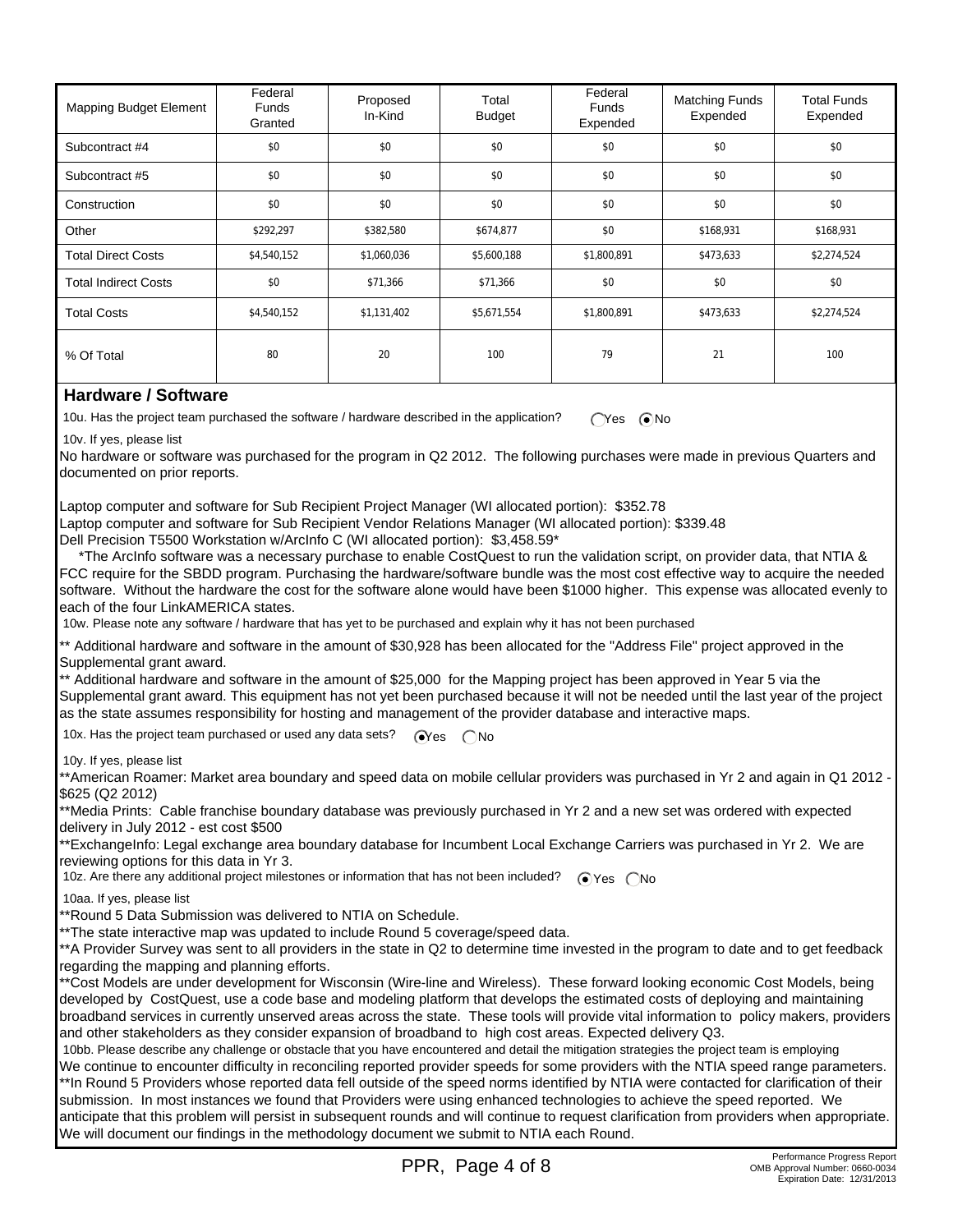| Mapping Budget Element      | Federal<br>Funds<br>Granted | Proposed<br>In-Kind | Total<br><b>Budget</b> | Federal<br>Funds<br>Expended | <b>Matching Funds</b><br>Expended | <b>Total Funds</b><br>Expended |
|-----------------------------|-----------------------------|---------------------|------------------------|------------------------------|-----------------------------------|--------------------------------|
| Subcontract #4              | \$0                         | \$0                 | \$0                    | \$0                          | \$0                               | \$0                            |
| Subcontract #5              | \$0                         | \$0                 | \$0                    | \$0                          | \$0                               | \$0                            |
| Construction                | \$0                         | \$0                 | \$0                    | \$0                          | \$0                               | \$0                            |
| Other                       | \$292,297                   | \$382,580           | \$674,877              | \$0                          | \$168,931                         | \$168,931                      |
| <b>Total Direct Costs</b>   | \$4,540,152                 | \$1,060,036         | \$5,600,188            | \$1,800,891                  | \$473,633                         | \$2,274,524                    |
| <b>Total Indirect Costs</b> | \$0                         | \$71,366            | \$71,366               | \$0                          | \$0                               | \$0                            |
| <b>Total Costs</b>          | \$4,540,152                 | \$1,131,402         | \$5,671,554            | \$1,800,891                  | \$473,633                         | \$2,274,524                    |
| % Of Total                  | 80                          | 20                  | 100                    | 79                           | 21                                | 100                            |

### **Hardware / Software**

10u. Has the project team purchased the software / hardware described in the application? CYes CNo

10v. If yes, please list

No hardware or software was purchased for the program in Q2 2012. The following purchases were made in previous Quarters and documented on prior reports.

Laptop computer and software for Sub Recipient Project Manager (WI allocated portion): \$352.78 Laptop computer and software for Sub Recipient Vendor Relations Manager (WI allocated portion): \$339.48 Dell Precision T5500 Workstation w/ArcInfo C (WI allocated portion): \$3,458.59\*

 \*The ArcInfo software was a necessary purchase to enable CostQuest to run the validation script, on provider data, that NTIA & FCC require for the SBDD program. Purchasing the hardware/software bundle was the most cost effective way to acquire the needed software. Without the hardware the cost for the software alone would have been \$1000 higher. This expense was allocated evenly to each of the four LinkAMERICA states.

10w. Please note any software / hardware that has yet to be purchased and explain why it has not been purchased

\*\* Additional hardware and software in the amount of \$30,928 has been allocated for the "Address File" project approved in the Supplemental grant award.

\*\* Additional hardware and software in the amount of \$25,000 for the Mapping project has been approved in Year 5 via the Supplemental grant award. This equipment has not yet been purchased because it will not be needed until the last year of the project as the state assumes responsibility for hosting and management of the provider database and interactive maps.

10x. Has the project team purchased or used any data sets?  $\bigcirc$ Yes  $\bigcirc$  No

10y. If yes, please list

\*\*American Roamer: Market area boundary and speed data on mobile cellular providers was purchased in Yr 2 and again in Q1 2012 - \$625 (Q2 2012)

\*\*Media Prints: Cable franchise boundary database was previously purchased in Yr 2 and a new set was ordered with expected delivery in July 2012 - est cost \$500

\*\*ExchangeInfo: Legal exchange area boundary database for Incumbent Local Exchange Carriers was purchased in Yr 2. We are reviewing options for this data in Yr 3.

10z. Are there any additional project milestones or information that has not been included? <br>
No

10aa. If yes, please list

\*\*Round 5 Data Submission was delivered to NTIA on Schedule.

\*\*The state interactive map was updated to include Round 5 coverage/speed data.

\*\*A Provider Survey was sent to all providers in the state in Q2 to determine time invested in the program to date and to get feedback regarding the mapping and planning efforts.

\*\*Cost Models are under development for Wisconsin (Wire-line and Wireless). These forward looking economic Cost Models, being developed by CostQuest, use a code base and modeling platform that develops the estimated costs of deploying and maintaining broadband services in currently unserved areas across the state. These tools will provide vital information to policy makers, providers and other stakeholders as they consider expansion of broadband to high cost areas. Expected delivery Q3.

 10bb. Please describe any challenge or obstacle that you have encountered and detail the mitigation strategies the project team is employing We continue to encounter difficulty in reconciling reported provider speeds for some providers with the NTIA speed range parameters. \*\*In Round 5 Providers whose reported data fell outside of the speed norms identified by NTIA were contacted for clarification of their submission. In most instances we found that Providers were using enhanced technologies to achieve the speed reported. We anticipate that this problem will persist in subsequent rounds and will continue to request clarification from providers when appropriate. We will document our findings in the methodology document we submit to NTIA each Round.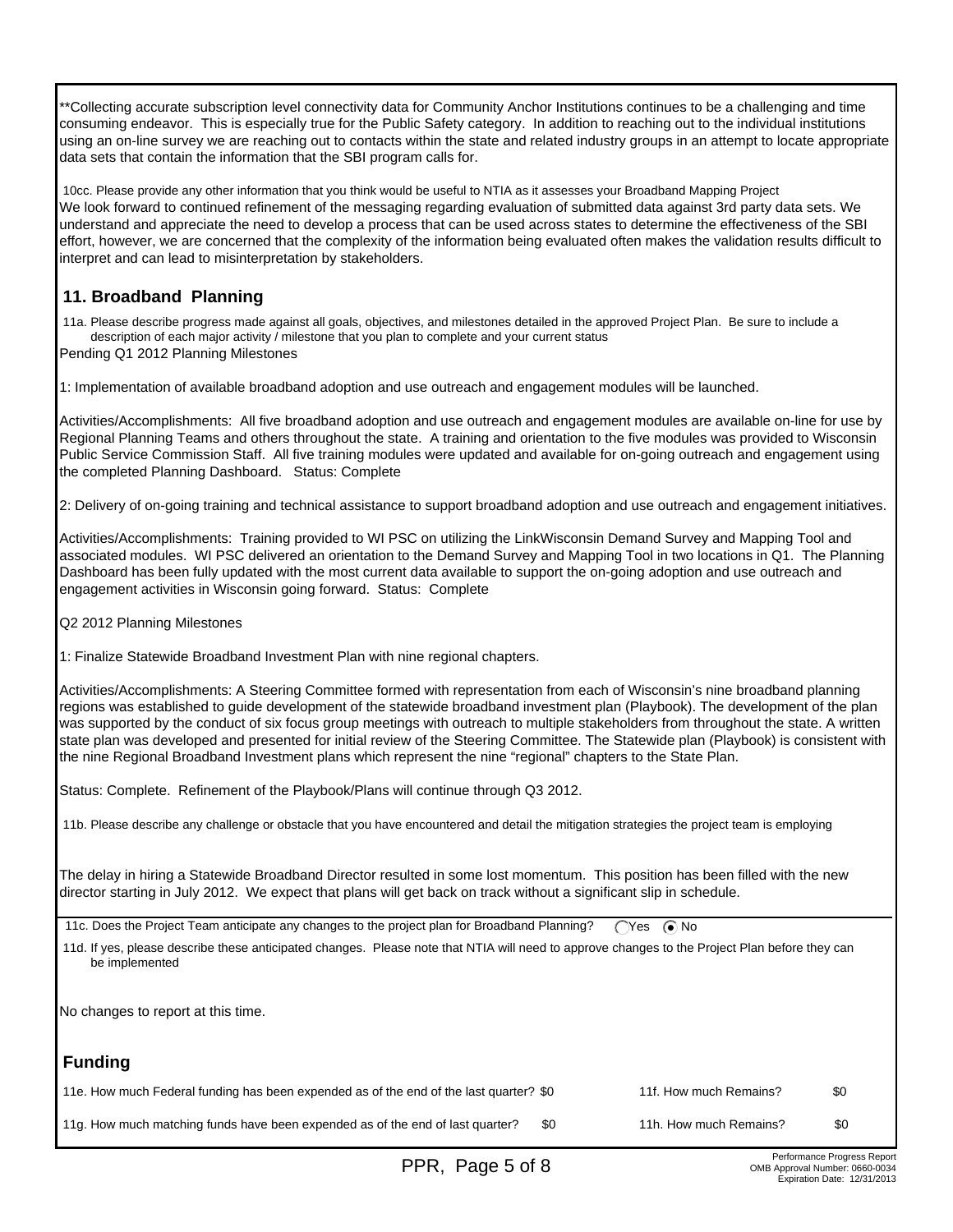\*\*Collecting accurate subscription level connectivity data for Community Anchor Institutions continues to be a challenging and time consuming endeavor. This is especially true for the Public Safety category. In addition to reaching out to the individual institutions using an on-line survey we are reaching out to contacts within the state and related industry groups in an attempt to locate appropriate data sets that contain the information that the SBI program calls for.

 10cc. Please provide any other information that you think would be useful to NTIA as it assesses your Broadband Mapping Project We look forward to continued refinement of the messaging regarding evaluation of submitted data against 3rd party data sets. We understand and appreciate the need to develop a process that can be used across states to determine the effectiveness of the SBI effort, however, we are concerned that the complexity of the information being evaluated often makes the validation results difficult to interpret and can lead to misinterpretation by stakeholders.

# **11. Broadband Planning**

 11a. Please describe progress made against all goals, objectives, and milestones detailed in the approved Project Plan. Be sure to include a description of each major activity / milestone that you plan to complete and your current status

Pending Q1 2012 Planning Milestones

1: Implementation of available broadband adoption and use outreach and engagement modules will be launched.

Activities/Accomplishments: All five broadband adoption and use outreach and engagement modules are available on-line for use by Regional Planning Teams and others throughout the state. A training and orientation to the five modules was provided to Wisconsin Public Service Commission Staff. All five training modules were updated and available for on-going outreach and engagement using the completed Planning Dashboard. Status: Complete

2: Delivery of on-going training and technical assistance to support broadband adoption and use outreach and engagement initiatives.

Activities/Accomplishments: Training provided to WI PSC on utilizing the LinkWisconsin Demand Survey and Mapping Tool and associated modules. WI PSC delivered an orientation to the Demand Survey and Mapping Tool in two locations in Q1. The Planning Dashboard has been fully updated with the most current data available to support the on-going adoption and use outreach and engagement activities in Wisconsin going forward. Status: Complete

Q2 2012 Planning Milestones

1: Finalize Statewide Broadband Investment Plan with nine regional chapters.

Activities/Accomplishments: A Steering Committee formed with representation from each of Wisconsin's nine broadband planning regions was established to guide development of the statewide broadband investment plan (Playbook). The development of the plan was supported by the conduct of six focus group meetings with outreach to multiple stakeholders from throughout the state. A written state plan was developed and presented for initial review of the Steering Committee. The Statewide plan (Playbook) is consistent with the nine Regional Broadband Investment plans which represent the nine "regional" chapters to the State Plan.

Status: Complete. Refinement of the Playbook/Plans will continue through Q3 2012.

11b. Please describe any challenge or obstacle that you have encountered and detail the mitigation strategies the project team is employing

The delay in hiring a Statewide Broadband Director resulted in some lost momentum. This position has been filled with the new director starting in July 2012. We expect that plans will get back on track without a significant slip in schedule.

11c. Does the Project Team anticipate any changes to the project plan for Broadband Planning?  $\bigcap$ Yes  $\bigcirc$  No

 11d. If yes, please describe these anticipated changes. Please note that NTIA will need to approve changes to the Project Plan before they can be implemented

No changes to report at this time.

# **Funding**

| 11e. How much Federal funding has been expended as of the end of the last quarter? \$0 | 11f. How much Remains? | -\$0 |
|----------------------------------------------------------------------------------------|------------------------|------|
| 11g. How much matching funds have been expended as of the end of last quarter?         | 11h. How much Remains? | -90  |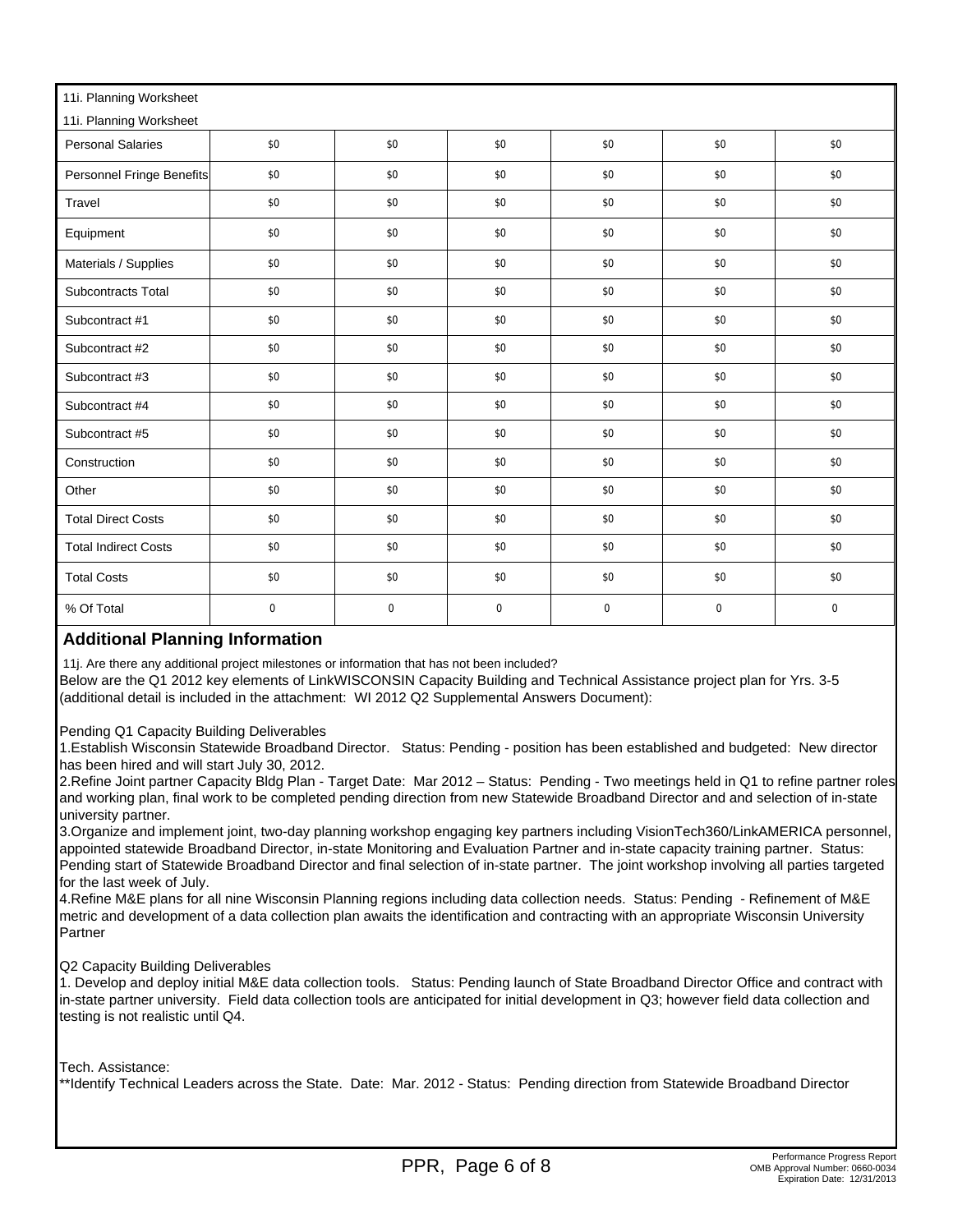| 11i. Planning Worksheet     |             |             |             |             |             |             |  |  |
|-----------------------------|-------------|-------------|-------------|-------------|-------------|-------------|--|--|
| 11i. Planning Worksheet     |             |             |             |             |             |             |  |  |
| <b>Personal Salaries</b>    | \$0         | \$0         | \$0         | \$0         | \$0         | \$0         |  |  |
| Personnel Fringe Benefits   | \$0         | \$0         | \$0         | \$0         | \$0         | \$0         |  |  |
| Travel                      | \$0         | \$0         | \$0         | \$0         | \$0         | \$0         |  |  |
| Equipment                   | \$0         | \$0         | \$0         | \$0         | \$0         | \$0         |  |  |
| Materials / Supplies        | \$0         | \$0         | \$0         | \$0         | \$0         | \$0         |  |  |
| <b>Subcontracts Total</b>   | \$0         | \$0         | \$0         | \$0         | \$0         | \$0         |  |  |
| Subcontract #1              | \$0         | \$0         | \$0         | \$0         | \$0         | \$0         |  |  |
| Subcontract #2              | \$0         | \$0         | \$0         | \$0         | \$0         | \$0         |  |  |
| Subcontract #3              | \$0         | \$0         | \$0         | \$0         | \$0         | \$0         |  |  |
| Subcontract #4              | \$0         | \$0         | \$0         | \$0         | \$0         | \$0         |  |  |
| Subcontract #5              | \$0         | \$0         | \$0         | \$0         | \$0         | \$0         |  |  |
| Construction                | \$0         | \$0         | \$0         | \$0         | \$0         | \$0         |  |  |
| Other                       | \$0         | \$0         | \$0         | \$0         | \$0         | \$0         |  |  |
| <b>Total Direct Costs</b>   | \$0         | \$0         | \$0         | \$0         | \$0         | \$0         |  |  |
| <b>Total Indirect Costs</b> | \$0         | \$0         | \$0         | \$0         | \$0         | \$0         |  |  |
| <b>Total Costs</b>          | \$0         | \$0         | \$0         | \$0         | \$0         | \$0         |  |  |
| % Of Total                  | $\mathbf 0$ | $\mathbf 0$ | $\mathbf 0$ | $\mathbf 0$ | $\mathbf 0$ | $\mathbf 0$ |  |  |

### **Additional Planning Information**

11j. Are there any additional project milestones or information that has not been included?

Below are the Q1 2012 key elements of LinkWISCONSIN Capacity Building and Technical Assistance project plan for Yrs. 3-5 (additional detail is included in the attachment: WI 2012 Q2 Supplemental Answers Document):

Pending Q1 Capacity Building Deliverables

1.Establish Wisconsin Statewide Broadband Director. Status: Pending - position has been established and budgeted: New director has been hired and will start July 30, 2012.

2.Refine Joint partner Capacity Bldg Plan - Target Date: Mar 2012 – Status: Pending - Two meetings held in Q1 to refine partner roles and working plan, final work to be completed pending direction from new Statewide Broadband Director and and selection of in-state university partner.

3.Organize and implement joint, two-day planning workshop engaging key partners including VisionTech360/LinkAMERICA personnel, appointed statewide Broadband Director, in-state Monitoring and Evaluation Partner and in-state capacity training partner. Status: Pending start of Statewide Broadband Director and final selection of in-state partner. The joint workshop involving all parties targeted for the last week of July.

4.Refine M&E plans for all nine Wisconsin Planning regions including data collection needs. Status: Pending - Refinement of M&E metric and development of a data collection plan awaits the identification and contracting with an appropriate Wisconsin University Partner

Q2 Capacity Building Deliverables

1. Develop and deploy initial M&E data collection tools. Status: Pending launch of State Broadband Director Office and contract with in-state partner university. Field data collection tools are anticipated for initial development in Q3; however field data collection and testing is not realistic until Q4.

Tech. Assistance:

\*\*Identify Technical Leaders across the State. Date: Mar. 2012 - Status: Pending direction from Statewide Broadband Director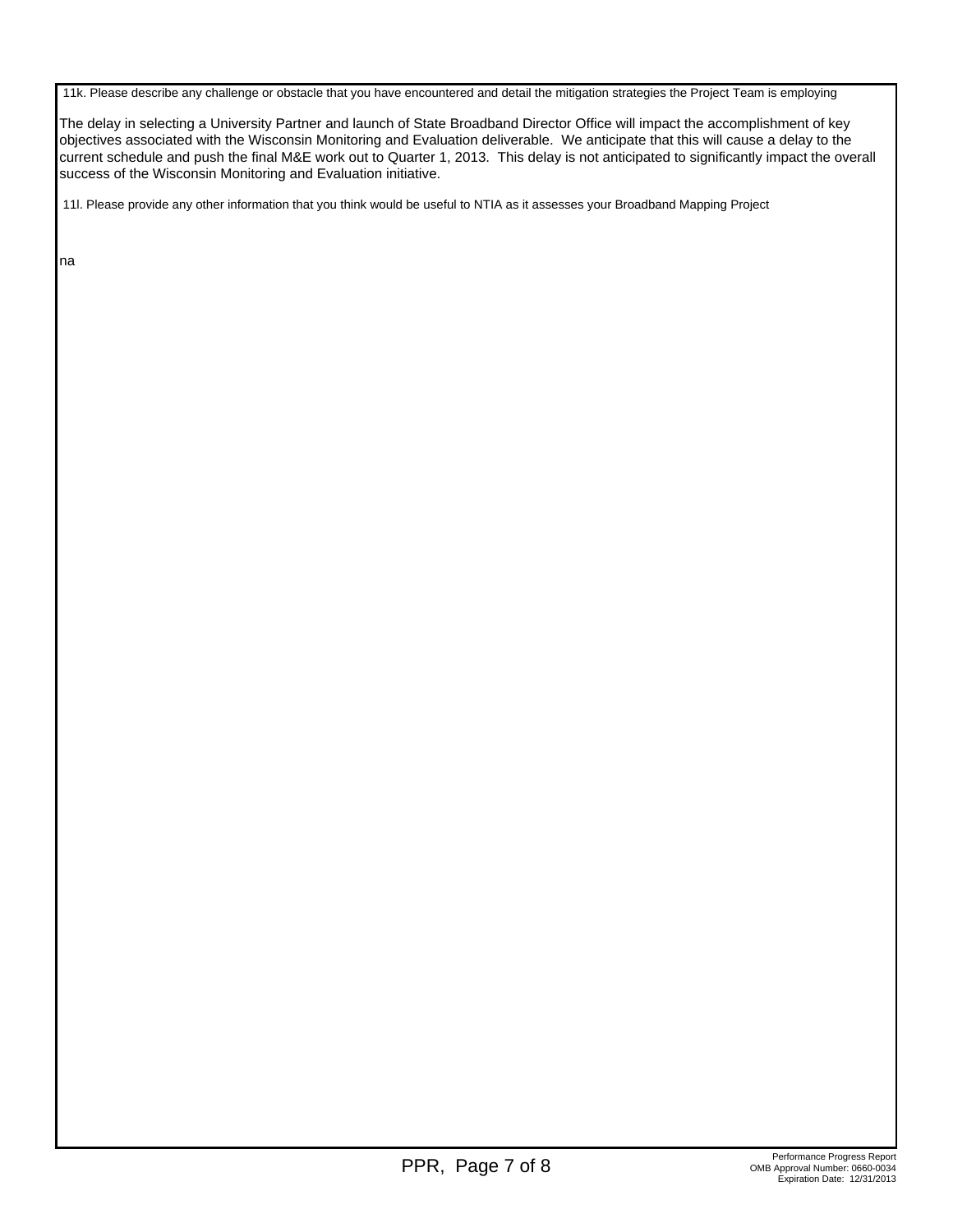11k. Please describe any challenge or obstacle that you have encountered and detail the mitigation strategies the Project Team is employing

The delay in selecting a University Partner and launch of State Broadband Director Office will impact the accomplishment of key objectives associated with the Wisconsin Monitoring and Evaluation deliverable. We anticipate that this will cause a delay to the current schedule and push the final M&E work out to Quarter 1, 2013. This delay is not anticipated to significantly impact the overall success of the Wisconsin Monitoring and Evaluation initiative.

11l. Please provide any other information that you think would be useful to NTIA as it assesses your Broadband Mapping Project

na